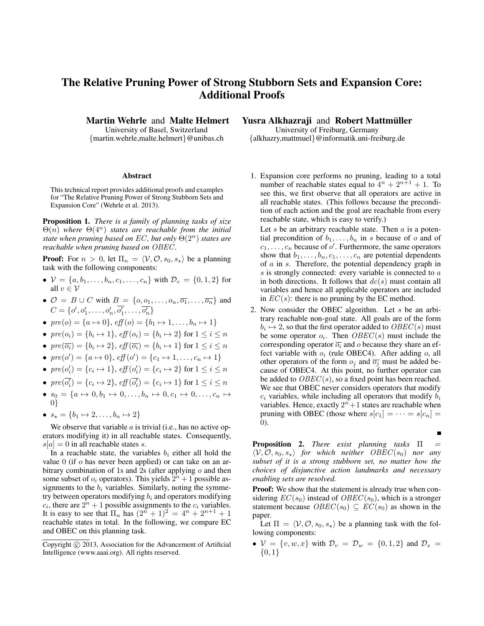## The Relative Pruning Power of Strong Stubborn Sets and Expansion Core: Additional Proofs

Martin Wehrle and Malte Helmert

University of Basel, Switzerland {martin.wehrle,malte.helmert}@unibas.ch

## Abstract

This technical report provides additional proofs and examples for "The Relative Pruning Power of Strong Stubborn Sets and Expansion Core" (Wehrle et al. 2013).

Proposition 1. *There is a family of planning tasks of size*  $\Theta(n)$  where  $\Theta(4^n)$  *states are reachable from the initial state when pruning based on* EC *, but only* Θ(2n) *states are reachable when pruning based on* OBEC *.*

**Proof:** For  $n > 0$ , let  $\Pi_n = \langle V, \mathcal{O}, s_0, s_\star \rangle$  be a planning task with the following components:

- $V = \{a, b_1, \ldots, b_n, c_1, \ldots, c_n\}$  with  $\mathcal{D}_v = \{0, 1, 2\}$  for all  $v \in V$
- $\mathcal{O} = B \cup C$  with  $B = \{o, o_1, \ldots, o_n, \overline{o_1}, \ldots, \overline{o_n}\}\$ and  $C = \{o', o'_1, \ldots, o'_n, \overline{o'_1}, \ldots, \overline{o'_n}\}\$
- $\textit{pre}(o) = \{a \mapsto 0\}, \textit{eff}(o) = \{b_1 \mapsto 1, \ldots, b_n \mapsto 1\}$
- $pre(o_i) = \{b_i \mapsto 1\}$ ,  $eff(o_i) = \{b_i \mapsto 2\}$  for  $1 \leq i \leq n$
- $pre(\overline{o_i}) = \{b_i \mapsto 2\}$ ,  $eff(\overline{o_i}) = \{b_i \mapsto 1\}$  for  $1 \leq i \leq n$
- $pre(o') = \{a \mapsto 0\}, \, eff(o') = \{c_1 \mapsto 1, \ldots, c_n \mapsto 1\}$
- $pre(o'_i) = \{c_i \mapsto 1\}$ ,  $eff(o'_i) = \{c_i \mapsto 2\}$  for  $1 \le i \le n$
- $pre(\overline{o_i'}) = \{c_i \mapsto 2\}$ ,  $eff(\overline{o_i'}) = \{c_i \mapsto 1\}$  for  $1 \le i \le n$
- $s_0 = \{a \mapsto 0, b_1 \mapsto 0, \ldots, b_n \mapsto 0, c_1 \mapsto 0, \ldots, c_n \mapsto$ 0}
- $s_{\star} = \{b_1 \mapsto 2, \ldots, b_n \mapsto 2\}$

We observe that variable  $\alpha$  is trivial (i.e., has no active operators modifying it) in all reachable states. Consequently,  $s[a] = 0$  in all reachable states s.

In a reachable state, the variables  $b_i$  either all hold the value 0 (if o has never been applied) or can take on an arbitrary combination of 1s and 2s (after applying  $\sigma$  and then some subset of  $o_i$  operators). This yields  $2^n + 1$  possible assignments to the  $b_i$  variables. Similarly, noting the symmetry between operators modifying  $b_i$  and operators modifying  $c_i$ , there are  $2^n + 1$  possible assignments to the  $c_i$  variables. It is easy to see that  $\Pi_n$  has  $(2^n + 1)^2 = 4^n + 2^{n+1} + 1$ reachable states in total. In the following, we compare EC and OBEC on this planning task.

## Yusra Alkhazraji and Robert Mattmüller

University of Freiburg, Germany {alkhazry,mattmuel}@informatik.uni-freiburg.de

1. Expansion core performs no pruning, leading to a total number of reachable states equal to  $4^n + 2^{n+1} + 1$ . To see this, we first observe that all operators are active in all reachable states. (This follows because the precondition of each action and the goal are reachable from every reachable state, which is easy to verify.)

Let  $s$  be an arbitrary reachable state. Then  $a$  is a potential precondition of  $b_1, \ldots, b_n$  in s because of o and of  $c_1, \ldots, c_n$  because of  $o'$ . Furthermore, the same operators show that  $b_1, \ldots, b_n, c_1, \ldots, c_n$  are potential dependents of a in s. Therefore, the potential dependency graph in  $s$  is strongly connected: every variable is connected to  $a$ in both directions. It follows that  $dc(s)$  must contain all variables and hence all applicable operators are included in  $EC(s)$ : there is no pruning by the EC method.

2. Now consider the OBEC algorithm. Let s be an arbitrary reachable non-goal state. All goals are of the form  $b_i \mapsto 2$ , so that the first operator added to  $OBEC(s)$  must be some operator  $o_i$ . Then  $OBEC(s)$  must include the corresponding operator  $\overline{o_i}$  and o because they share an effect variable with  $o_i$  (rule OBEC4). After adding  $o_i$ , all other operators of the form  $o_j$  and  $\overline{o_j}$  must be added because of OBEC4. At this point, no further operator can be added to  $OBEC(s)$ , so a fixed point has been reached. We see that OBEC never considers operators that modify  $c_i$  variables, while including all operators that modify  $b_i$ variables. Hence, exactly  $2^n + 1$  states are reachable when pruning with OBEC (those where  $s[c_1] = \cdots = s[c_n] =$ 0).

 $\blacksquare$ 

**Proposition 2.** *There exist planning tasks*  $\Pi$  =  $\langle V, \mathcal{O}, s_0, s_* \rangle$  *for which neither OBEC*(s<sub>0</sub>) *nor any subset of it is a strong stubborn set, no matter how the choices of disjunctive action landmarks and necessary enabling sets are resolved.*

**Proof:** We show that the statement is already true when considering  $EC(s_0)$  instead of  $OBEC(s_0)$ , which is a stronger statement because  $OBEC(s_0) \subseteq EC(s_0)$  as shown in the paper.

Let  $\Pi = \langle V, O, s_0, s_* \rangle$  be a planning task with the following components:

•  $V = \{v, w, x\}$  with  $\mathcal{D}_v = \mathcal{D}_w = \{0, 1, 2\}$  and  $\mathcal{D}_x =$  ${0,1}$ 

Copyright  $\odot$  2013, Association for the Advancement of Artificial Intelligence (www.aaai.org). All rights reserved.